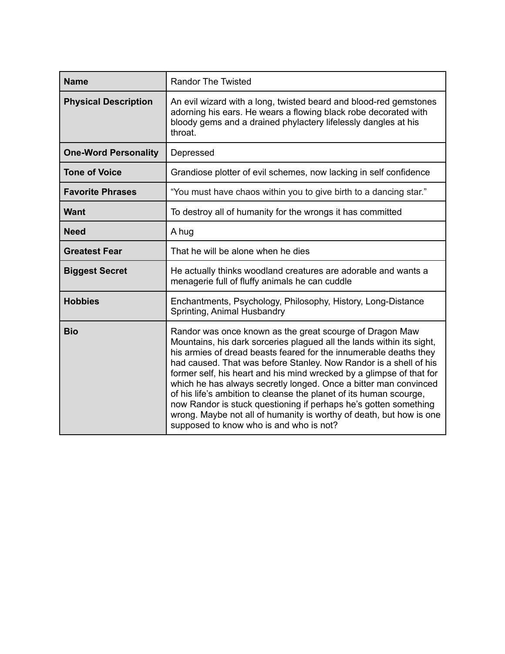| <b>Name</b>                 | <b>Randor The Twisted</b>                                                                                                                                                                                                                                                                                                                                                                                                                                                                                                                                                                                                                                                           |
|-----------------------------|-------------------------------------------------------------------------------------------------------------------------------------------------------------------------------------------------------------------------------------------------------------------------------------------------------------------------------------------------------------------------------------------------------------------------------------------------------------------------------------------------------------------------------------------------------------------------------------------------------------------------------------------------------------------------------------|
| <b>Physical Description</b> | An evil wizard with a long, twisted beard and blood-red gemstones<br>adorning his ears. He wears a flowing black robe decorated with<br>bloody gems and a drained phylactery lifelessly dangles at his<br>throat.                                                                                                                                                                                                                                                                                                                                                                                                                                                                   |
| <b>One-Word Personality</b> | Depressed                                                                                                                                                                                                                                                                                                                                                                                                                                                                                                                                                                                                                                                                           |
| <b>Tone of Voice</b>        | Grandiose plotter of evil schemes, now lacking in self confidence                                                                                                                                                                                                                                                                                                                                                                                                                                                                                                                                                                                                                   |
| <b>Favorite Phrases</b>     | "You must have chaos within you to give birth to a dancing star."                                                                                                                                                                                                                                                                                                                                                                                                                                                                                                                                                                                                                   |
| <b>Want</b>                 | To destroy all of humanity for the wrongs it has committed                                                                                                                                                                                                                                                                                                                                                                                                                                                                                                                                                                                                                          |
| <b>Need</b>                 | A hug                                                                                                                                                                                                                                                                                                                                                                                                                                                                                                                                                                                                                                                                               |
| <b>Greatest Fear</b>        | That he will be alone when he dies                                                                                                                                                                                                                                                                                                                                                                                                                                                                                                                                                                                                                                                  |
| <b>Biggest Secret</b>       | He actually thinks woodland creatures are adorable and wants a<br>menagerie full of fluffy animals he can cuddle                                                                                                                                                                                                                                                                                                                                                                                                                                                                                                                                                                    |
| <b>Hobbies</b>              | Enchantments, Psychology, Philosophy, History, Long-Distance<br>Sprinting, Animal Husbandry                                                                                                                                                                                                                                                                                                                                                                                                                                                                                                                                                                                         |
| <b>Bio</b>                  | Randor was once known as the great scourge of Dragon Maw<br>Mountains, his dark sorceries plagued all the lands within its sight,<br>his armies of dread beasts feared for the innumerable deaths they<br>had caused. That was before Stanley. Now Randor is a shell of his<br>former self, his heart and his mind wrecked by a glimpse of that for<br>which he has always secretly longed. Once a bitter man convinced<br>of his life's ambition to cleanse the planet of its human scourge,<br>now Randor is stuck questioning if perhaps he's gotten something<br>wrong. Maybe not all of humanity is worthy of death, but how is one<br>supposed to know who is and who is not? |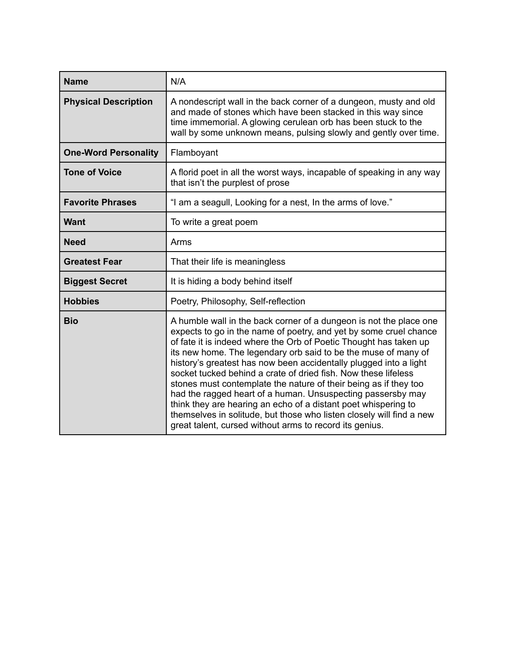| <b>Name</b>                 | N/A                                                                                                                                                                                                                                                                                                                                                                                                                                                                                                                                                                                                                                                                                                                                                           |
|-----------------------------|---------------------------------------------------------------------------------------------------------------------------------------------------------------------------------------------------------------------------------------------------------------------------------------------------------------------------------------------------------------------------------------------------------------------------------------------------------------------------------------------------------------------------------------------------------------------------------------------------------------------------------------------------------------------------------------------------------------------------------------------------------------|
| <b>Physical Description</b> | A nondescript wall in the back corner of a dungeon, musty and old<br>and made of stones which have been stacked in this way since<br>time immemorial. A glowing cerulean orb has been stuck to the<br>wall by some unknown means, pulsing slowly and gently over time.                                                                                                                                                                                                                                                                                                                                                                                                                                                                                        |
| <b>One-Word Personality</b> | Flamboyant                                                                                                                                                                                                                                                                                                                                                                                                                                                                                                                                                                                                                                                                                                                                                    |
| <b>Tone of Voice</b>        | A florid poet in all the worst ways, incapable of speaking in any way<br>that isn't the purplest of prose                                                                                                                                                                                                                                                                                                                                                                                                                                                                                                                                                                                                                                                     |
| <b>Favorite Phrases</b>     | "I am a seagull, Looking for a nest, In the arms of love."                                                                                                                                                                                                                                                                                                                                                                                                                                                                                                                                                                                                                                                                                                    |
| <b>Want</b>                 | To write a great poem                                                                                                                                                                                                                                                                                                                                                                                                                                                                                                                                                                                                                                                                                                                                         |
| <b>Need</b>                 | Arms                                                                                                                                                                                                                                                                                                                                                                                                                                                                                                                                                                                                                                                                                                                                                          |
| <b>Greatest Fear</b>        | That their life is meaningless                                                                                                                                                                                                                                                                                                                                                                                                                                                                                                                                                                                                                                                                                                                                |
| <b>Biggest Secret</b>       | It is hiding a body behind itself                                                                                                                                                                                                                                                                                                                                                                                                                                                                                                                                                                                                                                                                                                                             |
| <b>Hobbies</b>              | Poetry, Philosophy, Self-reflection                                                                                                                                                                                                                                                                                                                                                                                                                                                                                                                                                                                                                                                                                                                           |
| <b>Bio</b>                  | A humble wall in the back corner of a dungeon is not the place one<br>expects to go in the name of poetry, and yet by some cruel chance<br>of fate it is indeed where the Orb of Poetic Thought has taken up<br>its new home. The legendary orb said to be the muse of many of<br>history's greatest has now been accidentally plugged into a light<br>socket tucked behind a crate of dried fish. Now these lifeless<br>stones must contemplate the nature of their being as if they too<br>had the ragged heart of a human. Unsuspecting passersby may<br>think they are hearing an echo of a distant poet whispering to<br>themselves in solitude, but those who listen closely will find a new<br>great talent, cursed without arms to record its genius. |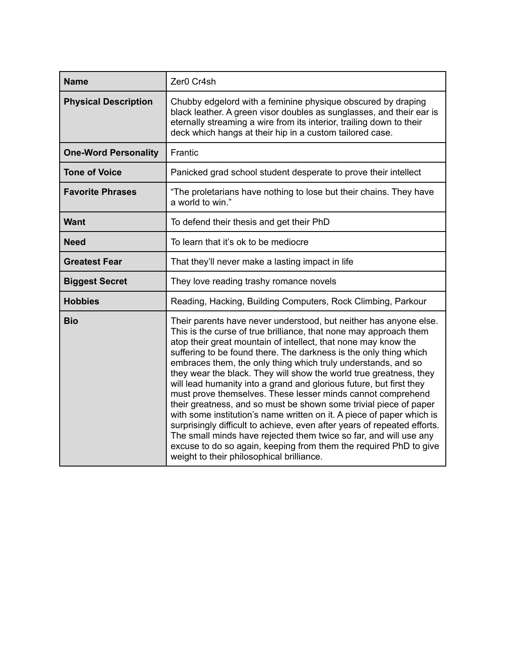| <b>Name</b>                 | Zer0 Cr4sh                                                                                                                                                                                                                                                                                                                                                                                                                                                                                                                                                                                                                                                                                                                                                                                                                                                                                                                                                                  |
|-----------------------------|-----------------------------------------------------------------------------------------------------------------------------------------------------------------------------------------------------------------------------------------------------------------------------------------------------------------------------------------------------------------------------------------------------------------------------------------------------------------------------------------------------------------------------------------------------------------------------------------------------------------------------------------------------------------------------------------------------------------------------------------------------------------------------------------------------------------------------------------------------------------------------------------------------------------------------------------------------------------------------|
| <b>Physical Description</b> | Chubby edgelord with a feminine physique obscured by draping<br>black leather. A green visor doubles as sunglasses, and their ear is<br>eternally streaming a wire from its interior, trailing down to their<br>deck which hangs at their hip in a custom tailored case.                                                                                                                                                                                                                                                                                                                                                                                                                                                                                                                                                                                                                                                                                                    |
| <b>One-Word Personality</b> | Frantic                                                                                                                                                                                                                                                                                                                                                                                                                                                                                                                                                                                                                                                                                                                                                                                                                                                                                                                                                                     |
| <b>Tone of Voice</b>        | Panicked grad school student desperate to prove their intellect                                                                                                                                                                                                                                                                                                                                                                                                                                                                                                                                                                                                                                                                                                                                                                                                                                                                                                             |
| <b>Favorite Phrases</b>     | "The proletarians have nothing to lose but their chains. They have<br>a world to win."                                                                                                                                                                                                                                                                                                                                                                                                                                                                                                                                                                                                                                                                                                                                                                                                                                                                                      |
| <b>Want</b>                 | To defend their thesis and get their PhD                                                                                                                                                                                                                                                                                                                                                                                                                                                                                                                                                                                                                                                                                                                                                                                                                                                                                                                                    |
| <b>Need</b>                 | To learn that it's ok to be mediocre                                                                                                                                                                                                                                                                                                                                                                                                                                                                                                                                                                                                                                                                                                                                                                                                                                                                                                                                        |
| <b>Greatest Fear</b>        | That they'll never make a lasting impact in life                                                                                                                                                                                                                                                                                                                                                                                                                                                                                                                                                                                                                                                                                                                                                                                                                                                                                                                            |
| <b>Biggest Secret</b>       | They love reading trashy romance novels                                                                                                                                                                                                                                                                                                                                                                                                                                                                                                                                                                                                                                                                                                                                                                                                                                                                                                                                     |
| <b>Hobbies</b>              | Reading, Hacking, Building Computers, Rock Climbing, Parkour                                                                                                                                                                                                                                                                                                                                                                                                                                                                                                                                                                                                                                                                                                                                                                                                                                                                                                                |
| <b>Bio</b>                  | Their parents have never understood, but neither has anyone else.<br>This is the curse of true brilliance, that none may approach them<br>atop their great mountain of intellect, that none may know the<br>suffering to be found there. The darkness is the only thing which<br>embraces them, the only thing which truly understands, and so<br>they wear the black. They will show the world true greatness, they<br>will lead humanity into a grand and glorious future, but first they<br>must prove themselves. These lesser minds cannot comprehend<br>their greatness, and so must be shown some trivial piece of paper<br>with some institution's name written on it. A piece of paper which is<br>surprisingly difficult to achieve, even after years of repeated efforts.<br>The small minds have rejected them twice so far, and will use any<br>excuse to do so again, keeping from them the required PhD to give<br>weight to their philosophical brilliance. |